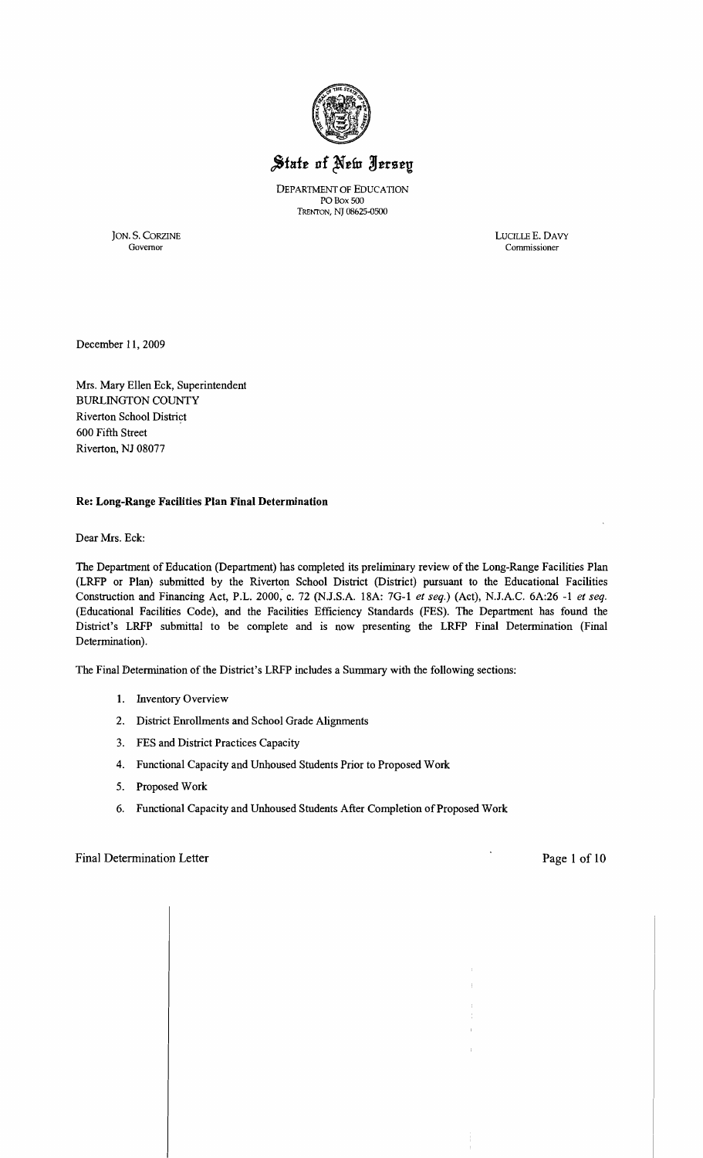

# State of New Jersey

DEPARTMENT OF EDUCATION POBox 500 TRENTON, NJ 08625-0500

JON. S. CORZINE LUCILLE E. DAVY Governor Commissioner Commissioner

December 11, 2009

Mrs. Mary Ellen Eck, Superintendent BURLINGTON COUNTY Riverton School District 600 Fifth Street Riverton, NJ 08077

#### **Re: Long-Range Facilities Plan Final Determination**

Dear Mrs. Eck:

The Department of Education (Department) has completed its preliminary review of the Long-Range Facilities Plan (LRFP or Plan) submitted by the Riverton School District (District) pursuant to the Educational Facilities Construction and Financing Act, P.L. 2000, c. 72 (N.J.S.A. 18A: 7G-l *et seq.)* (Act), N.J.A.C. 6A:26 -1 *et seq.*  (Educational Facilities Code), and the Facilities Efficiency Standards (FES). The Department has found the District's LRFP submittal to be complete and is now presenting the LRFP Final Determination (Final Determination).

The Final Determination of the District's LRFP includes a Summary with the following sections:

- 1. Inventory Overview
- 2. District Emollments and School Grade Alignments
- 3. FES and District Practices Capacity
- 4. Functional Capacity and Unhoused Students Prior to Proposed Work
- 5. Proposed Work
- 6. Functional Capacity and Unhoused Students After Completion of Proposed Work

## Final Determination Letter **Page 1 of 10**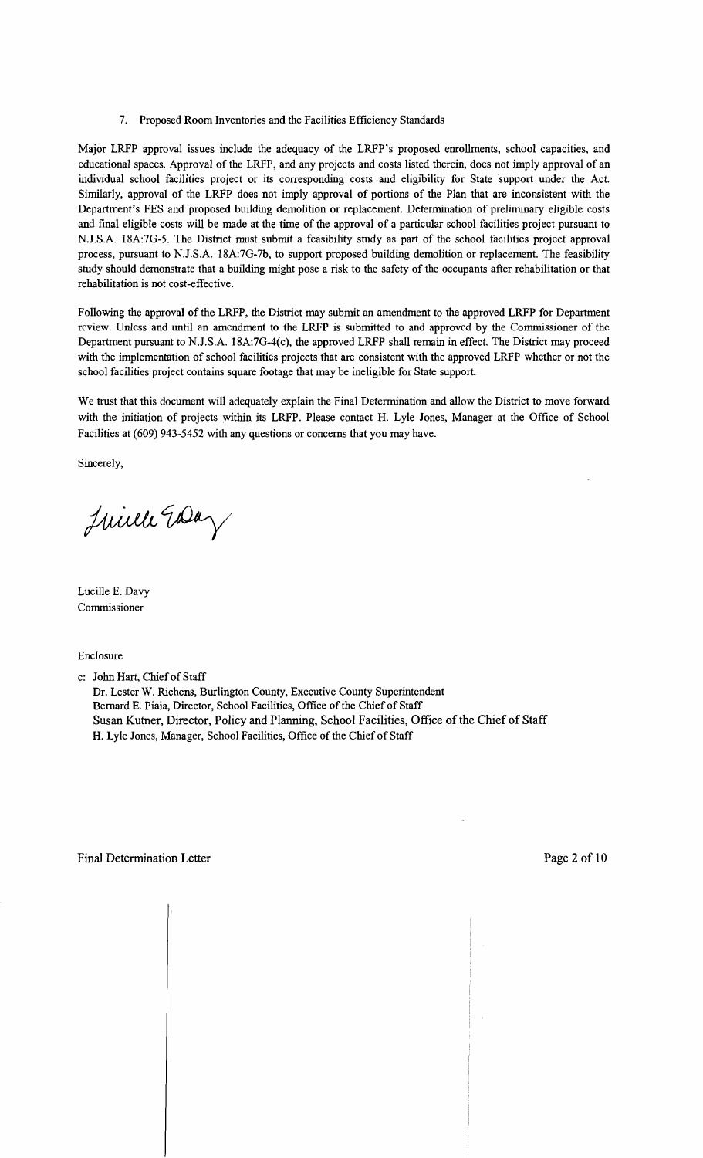## 7. Proposed Room Inventories and the Facilities Efficiency Standards

Major LRFP approval issues include the adequacy of the LRFP's proposed emollments, school capacities, and educational spaces. Approval of the LRFP, and any projects and costs listed therein, does not imply approval of an individual school facilities project or its corresponding costs and eligibility for State support under the Act. Similarly, approval of the LRFP does not imply approval of portions of the Plan that are inconsistent with the Department's FES and proposed building demolition or replacement. Determination of preliminary eligible costs and final eligible costs will be made at the time of the approval of a particular school facilities project pursuant to N.J.S.A. 18A:7G-5. The District must submit a feasibility study as part of the school facilities project approval process, pursuant to NJ.S.A. 18A:7G-7b, to support proposed building demolition or replacement. The feasibility study should demonstrate that a building might pose a risk to the safety of the occupants after rehabilitation or that rehabilitation is not cost-effective.

Following the approval of the LRFP, the District may submit an amendment to the approved LRFP for Department review. Unless and until an amendment to the LRFP is submitted to and approved by the Commissioner of the Department pursuant to NJ.S.A. 18A:7G-4(c), the approved LRFP shall remain in effect. The District may proceed with the implementation of school facilities projects that are consistent with the approved LRFP whether or not the school facilities project contains square footage that may be ineligible for State support.

We trust that this document will adequately explain the Final Determination and allow the District to move forward with the initiation of projects within its LRFP. Please contact H. Lyle Jones, Manager at the Office of School Facilities at (609) 943-5452 with any questions or concerns that you may have.

Sincerely,

Juille Early

Lucille E. Davy Commissioner

Enclosure

c: John Hart, Chief of Staff

Dr. Lester W. Richens, Burlington County, Executive County Superintendent Bernard E. Piaia, Director, School Facilities, Office of the Chief of Staff Susan Kutner, Director, Policy and Planning, School Facilities, Office of the Chief of Staff H. Lyle Jones, Manager, School Facilities, Office of the Chief of Staff

 $\mathbf{+}$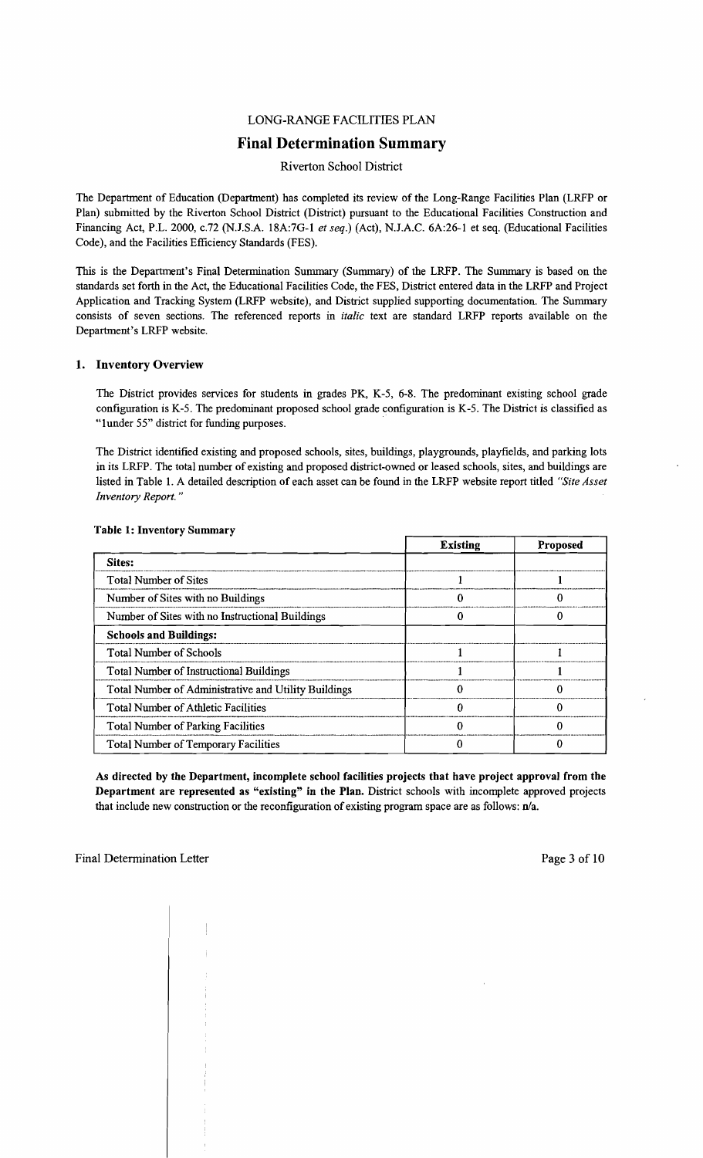## LONG-RANGE FACILITIES PLAN

## **Final Determination Summary**

#### Riverton School District

The Department of Education (Department) has completed its review of the Long-Range Facilities Plan (LRFP or Plan) submitted by the Riverton School District (District) pursuant to the Educational Facilities Construction and Financing Act, P.L. 2000, c.72 (N.J.S.A. 18A:7G-1 *et seq.*) (Act), N.J.A.C. 6A:26-1 et seq. (Educational Facilities Code), and the Facilities Efficiency Standards (FES).

This is the Department's Final Determination Summary (Summary) of the LRFP. The Summary is based on the standards set forth in the Act, the Educational Facilities Code, the FES, District entered data in the LRFP and Project Application and Tracking System (LRFP website), and District supplied supporting documentation. The Summary consists of seven sections. The referenced reports in *italic* text are standard LRFP reports available on the Department's LRFP website.

## 1. Inventory Overview

The District provides services for students in grades PK, K-5, 6-8. The predominant existing school grade configuration is K-5. The predominant proposed school grade configuration is K-5. The District is classified as "Iunder 55" district for funding purposes.

The District identified existing and proposed schools, sites, buildings, playgrounds, playfields, and parking lots in its LRFP. The total number of existing and proposed district-owned or leased schools, sites, and buildings are listed in Table 1. A detailed description of each asset can be found in the LRFP website report titled *"Site Asset Inventory Report. "* 

|                                                      | <b>Existing</b> | Proposed |
|------------------------------------------------------|-----------------|----------|
| Sites:                                               |                 |          |
| <b>Total Number of Sites</b>                         |                 |          |
| Number of Sites with no Buildings                    |                 | 0        |
| Number of Sites with no Instructional Buildings      |                 |          |
| <b>Schools and Buildings:</b>                        |                 |          |
| <b>Total Number of Schools</b>                       |                 |          |
| <b>Total Number of Instructional Buildings</b>       |                 |          |
| Total Number of Administrative and Utility Buildings |                 |          |
| <b>Total Number of Athletic Facilities</b>           |                 |          |
| <b>Total Number of Parking Facilities</b>            |                 |          |
| <b>Total Number of Temporary Facilities</b>          |                 |          |

#### Table 1: Inventory Summary

As directed by the Department, incomplete school facilities projects that have project approval from the Department are represented as "existing" in the Plan. District schools with incomplete approved projects that include new construction or the reconfiguration of existing program space are as follows:  $n/a$ .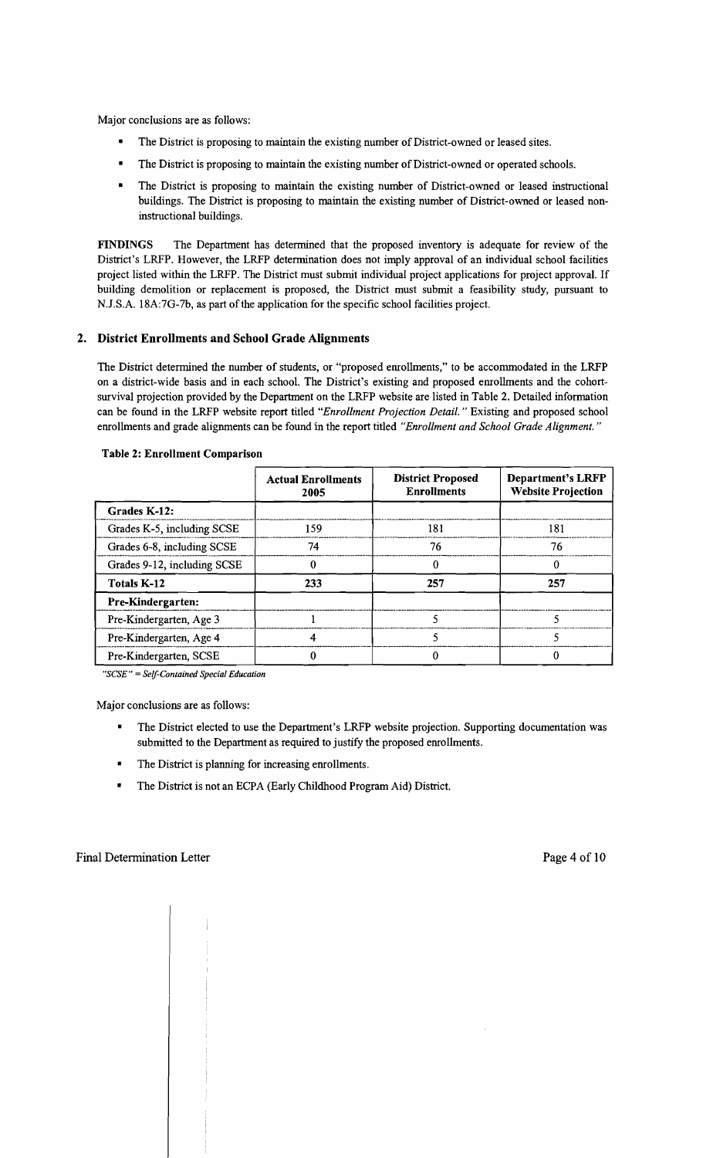Major conclusions are as follows:

- The District is proposing to maintain the existing number of District-owned or leased sites.
- The District is proposing to maintain the existing number of District-owned or operated schools.
- The District is proposing to maintain the existing number of District-owned or leased instructional buildings. The District is proposing to maintain the existing number of District-owned or leased noninstructional buildings.

FINDINGS The Department has determined that the proposed inventory is adequate for review of the District's LRFP. However, the LRFP determination does not imply approval of an individual school facilities project listed within the LRFP. The District must submit individual project applications for project approval. If building demolition or replacement is proposed, the District must submit a feasibility study, pursuant to N.J.S.A. 18A:7G-7b, as part of the application for the specific school facilities project.

## 2. District Enrollments and School Grade Alignments

The District determined the number of students, or "proposed emollments," to be accommodated in the LRFP on a district-wide basis and in each school. The District's existing and proposed emollments and the cohortsurvival projection provided by the Department on the LRFP website are listed in Table 2. Detailed information can be found in the LRFP website report titled *"Enrollment Projection Detail.* " Existing and proposed school emollments and grade alignments can be found in the report titled *"Enrollment and School Grade Alignment. "* 

|                             | <b>Actual Enrollments</b><br>2005 | <b>District Proposed</b><br><b>Enrollments</b> | <b>Department's LRFP</b><br><b>Website Projection</b> |  |
|-----------------------------|-----------------------------------|------------------------------------------------|-------------------------------------------------------|--|
| Grades K-12:                |                                   |                                                |                                                       |  |
| Grades K-5, including SCSE  | 159.                              | 181                                            | 181                                                   |  |
| Grades 6-8, including SCSE  | 74                                | 76                                             | 76                                                    |  |
| Grades 9-12, including SCSE |                                   |                                                |                                                       |  |
| <b>Totals K-12</b>          | 233<br>257                        |                                                | 257                                                   |  |
| Pre-Kindergarten:           |                                   |                                                |                                                       |  |
| Pre-Kindergarten, Age 3     |                                   |                                                |                                                       |  |
| Pre-Kindergarten, Age 4     |                                   |                                                |                                                       |  |
| Pre-Kindergarten, SCSE      |                                   |                                                |                                                       |  |

#### Table 2: Enrollment Comparison

*"SCSE"* = *Self-Contained Special Education* 

Major conclusions are as follows:

- The District elected to use the Department's LRFP website projection. Supporting documentation was submitted to the Department as required to justify the proposed emollments.
- The District is planning for increasing enrollments.
- The District is not an ECPA (Early Childhood Program Aid) District.

 $\overline{\phantom{a}}$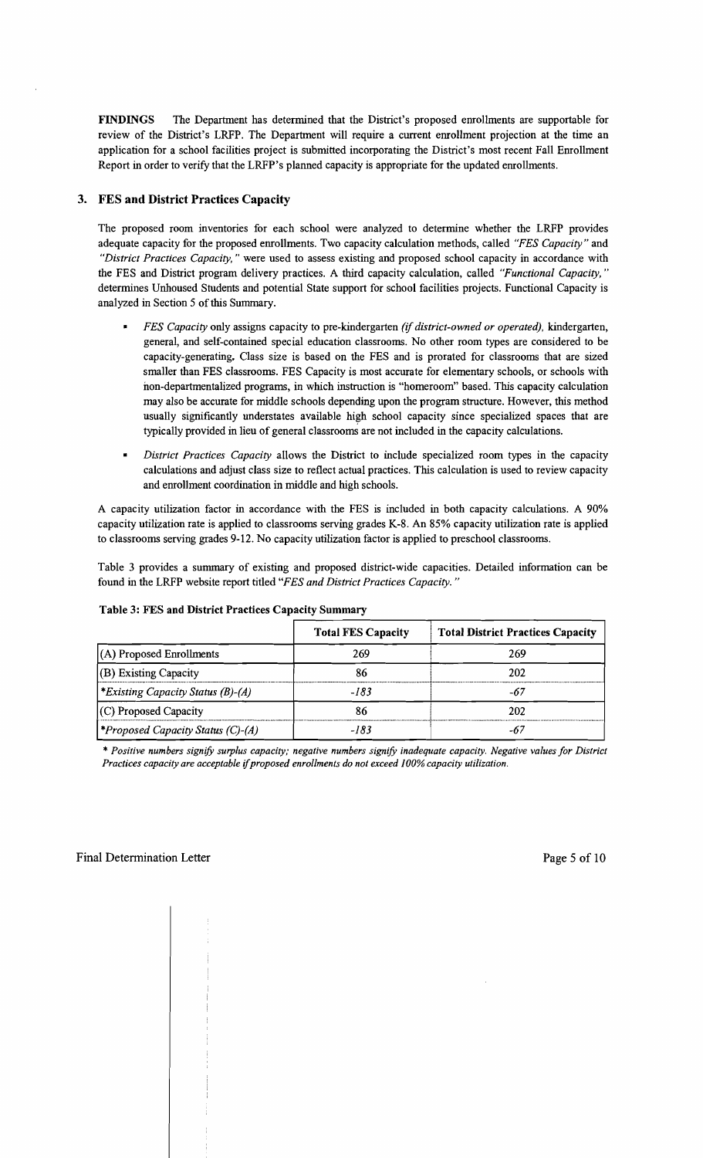FINDINGS The Department has determined that the District's proposed enrollments are supportable for review of the District's LRFP. The Department will require a current enrollment projection at the time an application for a school facilities project is submitted incorporating the District's most recent Fall Enrollment Report in order to verify that the LRFP's planned capacity is appropriate for the updated enrollments.

## 3. FES and District Practices Capacity

The proposed room inventories for each school were analyzed to determine whether the LRFP provides adequate capacity for the proposed enrollments. Two capacity calculation methods, called *"FES Capacity"* and *"District Practices Capacity,"* were used to assess existing and proposed school capacity in accordance with the FES and District program delivery practices. A third capacity calculation, called *"Functional Capacity, "*  determines Unhoused Students and potential State support for school facilities projects. Functional Capacity is analyzed in Section 5 of this Surnrnary.

- *FES Capacity* only assigns capacity to pre-kindergarten *(if district-owned or operated).* kindergarten, general, and self-contained special education classrooms. No other room types are considered to be capacity-generating. Class size is based on the FES and is prorated for classrooms that are sized smaller than FES classrooms. FES Capacity is most accurate for elementary schools, or schools with non-departmentalized programs, in which instruction is "homeroom" based. This capacity calculation may also be accurate for middle schools depending upon the program structure. However, this method usually significantly understates available high school capacity since specialized spaces that are typically provided in lieu of general classrooms are not included in the capacity calculations.
- *District Practices Capacity* allows the District to include specialized room types in the capacity calculations and adjust class size to reflect actual practices. This calculation is used to review capacity and enrollment coordination in middle and high schools.

A capacity utilization factor in accordance with the FES is included in both capacity calculations. A 90% capacity utilization rate is applied to classrooms serving grades K-8. An 85% capacity utilization rate is applied to classrooms serving grades 9-12. No capacity utilization factor is applied to preschool classrooms.

Table 3 provides a summary of existing and proposed district-wide capacities. Detailed information can be found in the LRFP website report titled *"FES and District Practices Capacity. "* 

|                                                 | <b>Total FES Capacity</b> | <b>Total District Practices Capacity</b> |
|-------------------------------------------------|---------------------------|------------------------------------------|
| $(A)$ Proposed Enrollments                      | 269                       | 269                                      |
| $ $ (B) Existing Capacity                       | 86                        | 202                                      |
| <i>Existing Capacity Status (B)-(A)</i>         | -183                      | -67                                      |
| $(C)$ Proposed Capacity                         | 86                        | 202                                      |
| <i><b>*Proposed Capacity Status (C)-(A)</b></i> | -183                      |                                          |

#### Table 3: FES and District Practices Capacity Summary

*\* Positive numbers signify surplus capacity; negative numbers signify inadequate capacity. Negative values for District Practices capacity are acceptable* if*proposed enrollments do not exceed* J*00% capacity utilization.*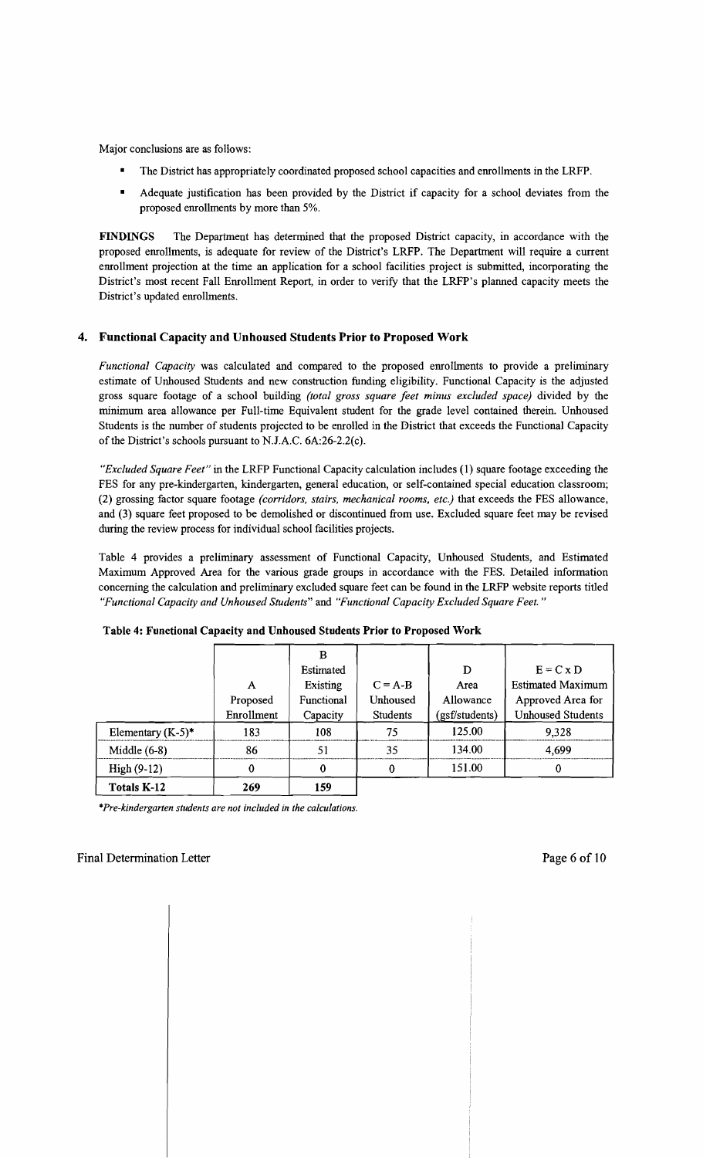Major conclusions are as follows:

- The District has appropriately coordinated proposed school capacities and enrollments in the LRFP.
- • Adequate justification has been provided by the District if capacity for a school deviates from the proposed enrollments by more than 5%.

**FINDINGS** The Department has determined that the proposed District capacity, in accordance with the proposed enrollments, is adequate for review of the District's LRFP. The Department will require a current enrollment projection at the time an application for a school facilities project is submitted, incorporating the District's most recent Fall Enrollment Report, in order to verify that the LRFP's planned capacity meets the District's updated enrollments.

## **4. Functional Capacity and Unhoused Students Prior to Proposed Work**

*Functional Capacity* was calculated and compared to the proposed enrollments to provide a preliminary estimate of Unhoused Students and new construction funding eligibility. Functional Capacity is the adjusted gross square footage of a school building *(total gross square feet minus excluded space)* divided by the minimum area allowance per Full-time Equivalent student for the grade level contained therein. Unhoused Students is the number of students projected to be enrolled in the District that exceeds the Functional Capacity of the District's schools pursuant to N.J.A.C.  $6A:26-2.2(c)$ .

*"Excluded Square Feet"* in the LRFP Functional Capacity calculation includes (1) square footage exceeding the FES for any pre-kindergarten, kindergarten, general education, or self-contained special education classroom; (2) grossing factor square footage *(corridors, stairs, mechanical rooms, etc.)* that exceeds the FES allowance, and (3) square feet proposed to be demolished or discontinued from use. Excluded square feet may be revised during the review process for individual school facilities projects.

Table 4 provides a preliminary assessment of Functional Capacity, Unhoused Students, and Estimated Maximum Approved Area for the various grade groups in accordance with the FES. Detailed infonnation concerning the calculation and preliminary excluded square feet can be found in the LRFP website reports titled *"Functional Capacity and Unhoused Students"* and *"Functional Capacity Excluded Square Feet. "* 

|                      |            | в          |                 |                |                          |
|----------------------|------------|------------|-----------------|----------------|--------------------------|
|                      |            | Estimated  |                 | D              | $E = C x D$              |
|                      | A          | Existing   | $C = A-B$       | Area           | <b>Estimated Maximum</b> |
|                      | Proposed   | Functional | Unhoused        | Allowance      | Approved Area for        |
|                      | Enrollment | Capacity   | <b>Students</b> | (gsf/students) | <b>Unhoused Students</b> |
| Elementary $(K-5)^*$ | 183        | 108        | 75              | 125.00         | 9,328                    |
| Middle $(6-8)$       | 86         | 51         | 35              | 134.00         | 4,699                    |
| $High (9-12)$        | 0          | 0          | $\theta$        | 151.00         | 0                        |
| <b>Totals K-12</b>   | 269        | 159        |                 |                |                          |

#### **Table 4: Functional Capacity and Unhoused Students Prior to Proposed Work**

*\*Pre-kindergarten students are not included in the calculations.* 

#### Final Determination Letter and the state of 10 and 10 and 10 and 10 and 10 and 10 and 10 and 10 and 10 and 10 and 10 and 10 and 10 and 10 and 10 and 10 and 10 and 10 and 10 and 10 and 10 and 10 and 10 and 10 and 10 and 10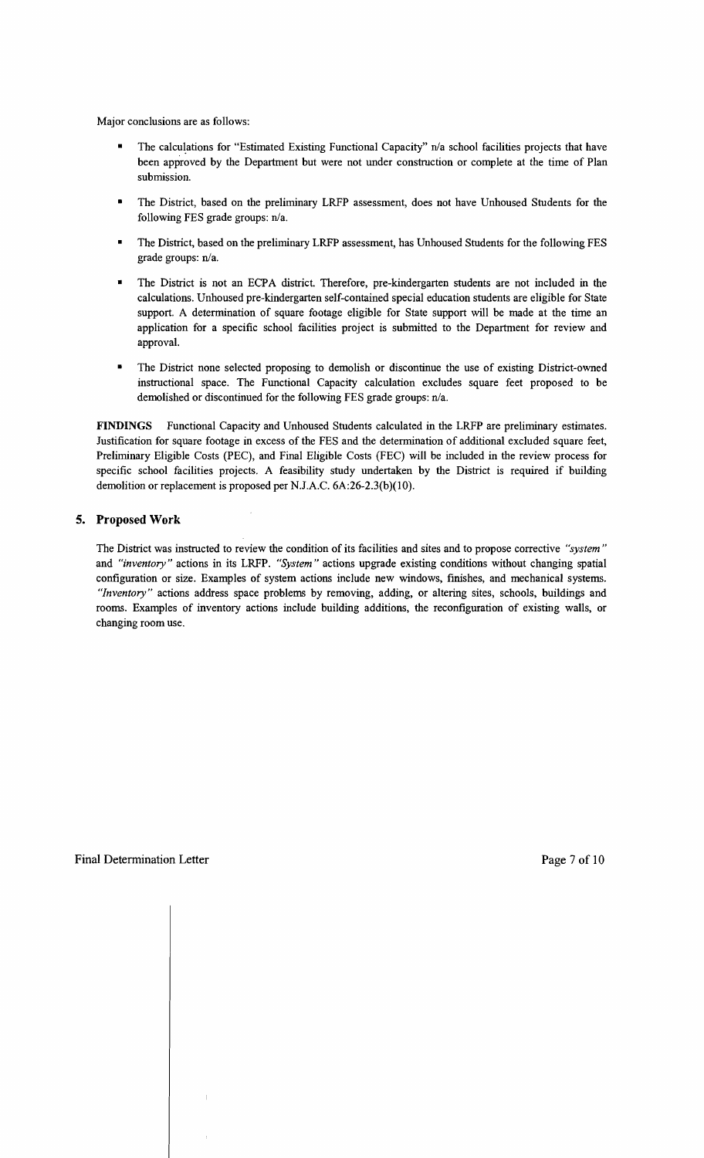Major conclusions are as follows:

- The calculations for "Estimated Existing Functional Capacity" n/a school facilities projects that have been approved by the Department but were not under construction or complete at the time of Plan submission.
- The District, based on the preliminary LRFP assessment, does not have Unhoused Students for the following FES grade groups:  $n/a$ .
- The District, based on the preliminary LRFP assessment, has Unhoused Students for the following FES grade groups: n/a.
- The District is not an ECPA district. Therefore, pre-kindergarten students are not included in the calculations. Unhoused pre-kindergarten self-contained special education students are eligible for State support. A determination of square footage eligible for State support will be made at the time an application for a specific school facilities project is submitted to the Department for review and approval.
- The District none selected proposing to demolish or discontinue the use of existing District-owned instructional space. The Functional Capacity calculation excludes square feet proposed to be demolished or discontinued for the following FES grade groups:  $n/a$ .

FINDINGS Functional Capacity and Unhoused Students calculated in the LRFP are preliminary estimates. Justification for square footage in excess of the FES and the determination of additional excluded square feet, Preliminary Eligible Costs (PEC), and Final Eligible Costs (FEC) will be included in the review process for specific school facilities projects. A feasibility study undertaken by the District is required if building demolition or replacement is proposed per NJ.A.C. 6A:26-2.3(b)(1O).

## **5. Proposed Work**

The District was instructed to review the condition of its facilities and sites and to propose corrective *"system"*  and *"inventory"* actions in its LRFP. *"System"* actions upgrade existing conditions without changing spatial configuration or size. Examples of system actions include new windows, finishes, and mechanical systems. *"Inventory"* actions address space problems by removing, adding, or altering sites, schools, buildings and rooms. Examples of inventory actions include building additions, the reconfiguration of existing walls, or changing room use.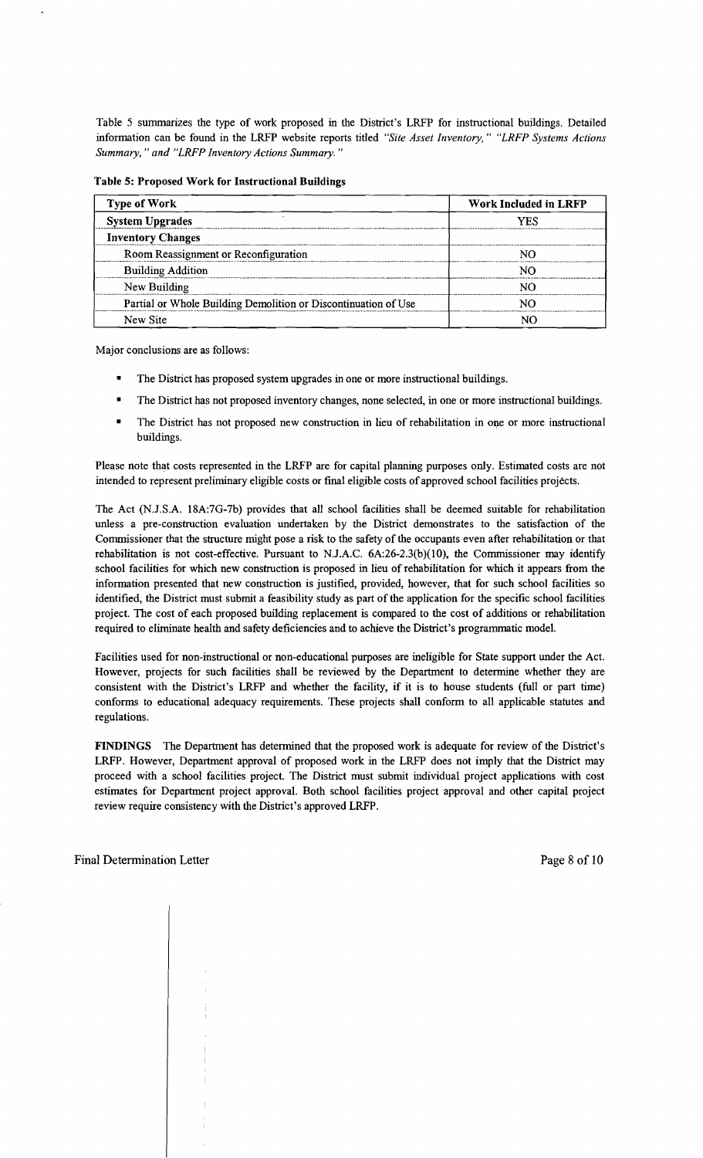Table 5 summarizes the type of work proposed in the District's LRFP for instructional buildings. Detailed information can be found in the LRFP website reports titled *"Site Asset Inventory," "LRFP Systems Actions Summary,* " *and "LRFP Inventory Actions Summary. "* 

Table 5: Proposed Work for Instructional Buildings

| <b>Type of Work</b>                                            | Work Included in LRFP |  |  |
|----------------------------------------------------------------|-----------------------|--|--|
| <b>System Upgrades</b>                                         | YFS                   |  |  |
| <b>Inventory Changes</b>                                       |                       |  |  |
| Room Reassignment or Reconfiguration                           |                       |  |  |
| <b>Building Addition</b>                                       |                       |  |  |
| New Building                                                   |                       |  |  |
| Partial or Whole Building Demolition or Discontinuation of Use |                       |  |  |
| New Site                                                       |                       |  |  |

Major conclusions are as follows:

- The District has proposed system upgrades in one or more instructional buildings.
- The District has not proposed inventory changes, none selected, in one or more instructional buildings.
- The District has not proposed new construction in lieu of rehabilitation in one or more instructional buildings.

Please note that costs represented in the LRFP are for capital planning purposes only. Estimated costs are not intended to represent preliminary eligible costs or final eligible costs of approved school facilities projects.

The Act (N.J.S.A. 18A:7G-7b) provides that all school facilities shall be deemed suitable for rehabilitation unless a pre-construction evaluation undertaken by the District demonstrates to the satisfaction of the Commissioner that the structure might pose a risk to the safety of the occupants even after rehabilitation or that rehabilitation is not cost-effective. Pursuant to NJ.A.C. 6A:26-2.3(b)(1O), the Commissioner may identify school facilities for which new construction is proposed in lieu of rehabilitation for which it appears from the information presented that new construction is justified, provided, however, that for such school facilities so identified, the District must submit a feasibility study as part of the application for the specific school facilities project. The cost of each proposed building replacement is compared to the cost of additions or rehabilitation required to eliminate health and safety deficiencies and to achieve the District's programmatic model.

Facilities used for non-instructional or non-educational purposes are ineligible for State support under the Act. However, projects for such facilities shall be reviewed by the Department to determine whether they are consistent with the District's LRFP and whether the facility, if it is to house students (full or part time) conforms to educational adequacy requirements. These projects shall conform to all applicable statutes and regulations.

FINDINGS The Department has determined that the proposed work is adequate for review of the District's LRFP. However, Department approval of proposed work in the LRFP does not imply that the District may proceed with a school facilities project. The District must submit individual project applications with cost estimates for Department project approval. Both school facilities project approval and other capital project review require consistency with the District's approved LRFP.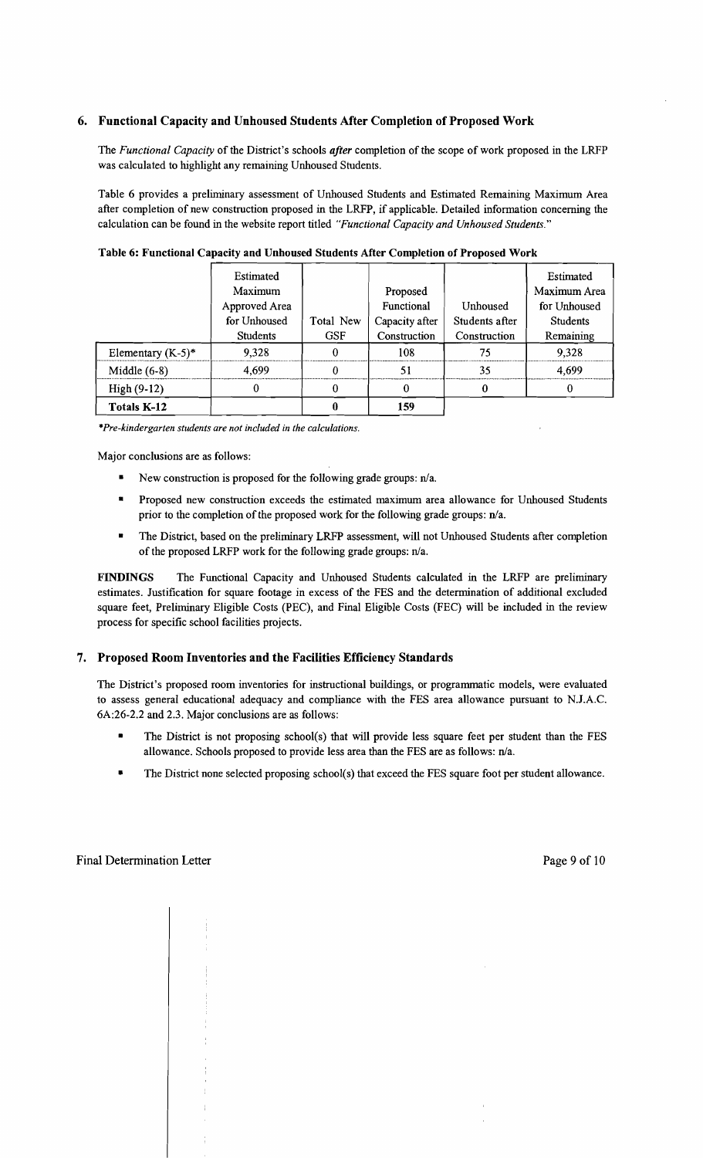## 6. Functional Capacity and Unhoused Students After Completion of Proposed Work

The *Functional Capacity* of the District's schools *after* completion of the scope of work proposed in the LRFP was calculated to highlight any remaining Unhoused Students.

Table 6 provides a preliminary assessment of Unhoused Students and Estimated Remaining Maximum Area after completion of new construction proposed in the LRFP, if applicable. Detailed information concerning the calculation can be found in the website report titled *"Functional Capacity and Unhoused Students."* 

|                      | Estimated     |            |                |                | Estimated       |
|----------------------|---------------|------------|----------------|----------------|-----------------|
|                      | Maximum       |            | Proposed       |                | Maximum Area    |
|                      | Approved Area |            | Functional     | Unhoused       | for Unhoused    |
|                      | for Unhoused  | Total New  | Capacity after | Students after | <b>Students</b> |
|                      | Students      | <b>GSF</b> | Construction   | Construction   | Remaining       |
| Elementary $(K-5)^*$ | 9,328         | 0          | 108            | 75             | 9,328           |
| Middle $(6-8)$       | 4.699         |            | 51             | 35             | 4.699           |
| High (9-12)          |               |            |                |                |                 |
| Totals K-12          |               |            | 159            |                |                 |

Table 6: Functional Capacity and Unhoused Students After Completion of Proposed Work

*\*Pre-kindergarten students are not included in the calculations.* 

Major conclusions are as follows:

- New construction is proposed for the following grade groups:  $n/a$ .
- **•** Proposed new construction exceeds the estimated maximum area allowance for Unhoused Students prior to the completion of the proposed work for the following grade groups:  $n/a$ .
- The District, based on the preliminary LRFP assessment, will not Unhoused Students after completion of the proposed LRFP work for the following grade groups: n/a.

FINDINGS The Functional Capacity and Unhoused Students calculated in the LRFP are preliminary estimates. Justification for square footage in excess of the FES and the determination of additional excluded square feet, Preliminary Eligible Costs (PEC), and Final Eligible Costs (FEC) will be included in the review process for specific school facilities projects.

## 7. Proposed Room Inventories and the Facilities Efficiency Standards

The District's proposed room inventories for instructional buildings, or programmatic models, were evaluated to assess general educational adequacy and compliance with the FES area allowance pursuant to N.J.A.C. 6A:26-2.2 and 2.3. Major conclusions are as follows:

- The District is not proposing school(s) that will provide less square feet per student than the FES allowance. Schools proposed to provide less area than the FES are as follows: n/a.
- The District none selected proposing school(s) that exceed the FES square foot per student allowance.